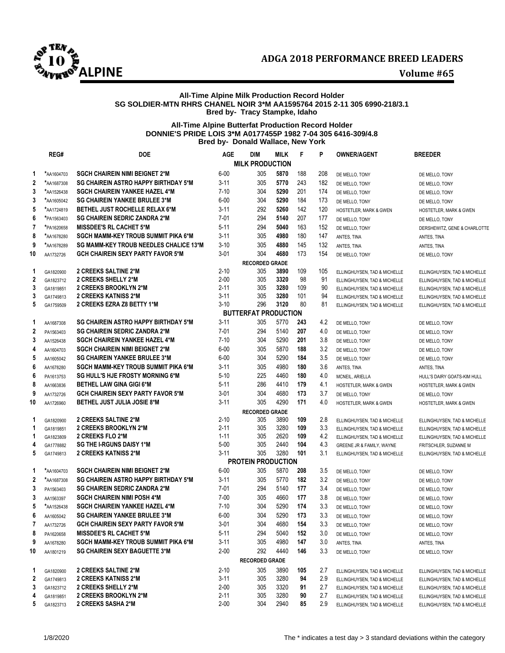



# **All-Time Alpine Milk Production Record Holder SG SOLDIER-MTN RHRS CHANEL NOIR 3\*M AA1595764 2015 2-11 305 6990-218/3.1 Bred by- Tracy Stampke, Idaho**

# **All-Time Alpine Butterfat Production Record Holder DONNIE'S PRIDE LOIS 3\*M A0177455P 1982 7-04 305 6416-309/4.8 Bred by- Donald Wallace, New York**

|                  | REG#       | <b>DOE</b>                                  | <b>AGE</b> | <b>DIM</b>                       | <b>MILK</b> | F          | P   | <b>OWNER/AGENT</b>           | <b>BREEDER</b>               |
|------------------|------------|---------------------------------------------|------------|----------------------------------|-------------|------------|-----|------------------------------|------------------------------|
|                  |            |                                             |            | <b>MILK PRODUCTION</b>           |             |            |     |                              |                              |
| 1                | *AA1604703 | <b>SGCH CHAIREIN NIMI BEIGNET 2*M</b>       | $6 - 00$   | 305                              | 5870        | 188        | 208 | DE MELLO, TONY               | DE MELLO, TONY               |
| $\mathbf 2$      | *AA1687308 | <b>SG CHAIREIN ASTRO HAPPY BIRTHDAY 5*M</b> | $3 - 11$   | 305                              | 5770        | 243        | 182 | DE MELLO, TONY               | DE MELLO, TONY               |
| 3                | *AA1526438 | <b>SGCH CHAIREIN YANKEE HAZEL 4*M</b>       | $7 - 10$   | 304                              | 5290        | 201        | 174 | DE MELLO, TONY               | DE MELLO, TONY               |
| 3                | *AA1605042 | <b>SG CHAIREIN YANKEE BRULEE 3*M</b>        | $6 - 00$   | 304                              | 5290        | 184        | 173 | DE MELLO, TONY               | DE MELLO, TONY               |
| 5                | *AA1724819 | <b>BETHEL JUST ROCHELLE RELAX 6*M</b>       | $3 - 11$   | 292                              | 5260        | 142        | 120 | HOSTETLER, MARK & GWEN       | HOSTETLER, MARK & GWEN       |
| 6                | *PA1563403 | <b>SG CHAIREIN SEDRIC ZANDRA 2*M</b>        | 7-01       | 294                              | 5140        | 207        | 177 | DE MELLO, TONY               | DE MELLO, TONY               |
| 7                | *PA1620658 | <b>MISSDEE'S RL CACHET 5*M</b>              | $5 - 11$   | 294                              | 5040        | 163        | 152 | DE MELLO, TONY               | DERSHEWITZ, GENE & CHARLOTTE |
| 8                | *AA1678280 | SGCH MAMM-KEY TROUB SUMMIT PIKA 6*M         | $3 - 11$   | 305                              | 4980        | 180        | 147 | ANTES, TINA                  | ANTES, TINA                  |
| 9                | *AA1678289 | SG MAMM-KEY TROUB NEEDLES CHALICE 13*M      | $3 - 10$   | 305                              | 4880        | 145        | 132 | ANTES, TINA                  | ANTES, TINA                  |
| 10               | AA1732726  | <b>GCH CHAIREIN SEXY PARTY FAVOR 5*M</b>    | $3 - 01$   | 304                              | 4680        | 173        | 154 | DE MELLO, TONY               | DE MELLO, TONY               |
|                  |            |                                             |            | <b>RECORDED GRADE</b>            |             |            |     |                              |                              |
| 1                | GA1820900  | 2 CREEKS SALTINE 2*M                        | $2 - 10$   | 305                              | 3890        | 109        | 105 | ELLINGHUYSEN, TAD & MICHELLE | ELLINGHUYSEN, TAD & MICHELLE |
| $\boldsymbol{2}$ | GA1823712  | 2 CREEKS SHELLY 2*M                         | $2 - 00$   | 305                              | 3320        | 98         | 91  | ELLINGHUYSEN, TAD & MICHELLE | ELLINGHUYSEN, TAD & MICHELLE |
| 3                | GA1819851  | 2 CREEKS BROOKLYN 2*M                       | 2-11       | 305                              | 3280        | 109        | 90  | ELLINGHUYSEN, TAD & MICHELLE | ELLINGHUYSEN, TAD & MICHELLE |
| 3                | GA1749813  | <b>2 CREEKS KATNISS 2*M</b>                 | $3 - 11$   | 305                              | 3280        | 101        | 94  | ELLINGHUYSEN, TAD & MICHELLE | ELLINGHUYSEN, TAD & MICHELLE |
| 5                | GA1759509  | 2 CREEKS EZRA Z8 BETTY 1*M                  | $3 - 10$   | 296                              | 3120        | 80         | 81  | ELLINGHUYSEN, TAD & MICHELLE | ELLINGHUYSEN, TAD & MICHELLE |
|                  |            |                                             |            | <b>BUTTERFAT PRODUCTION</b>      |             |            |     |                              |                              |
| 1                | AA1687308  | <b>SG CHAIREIN ASTRO HAPPY BIRTHDAY 5*M</b> | $3 - 11$   | 305                              | 5770        | 243        | 4.2 | DE MELLO, TONY               | DE MELLO, TONY               |
| 2                | PA1563403  | <b>SG CHAIREIN SEDRIC ZANDRA 2*M</b>        | 7-01       | 294                              | 5140        | 207        | 4.0 | DE MELLO. TONY               | DE MELLO, TONY               |
| 3                | AA1526438  | <b>SGCH CHAIREIN YANKEE HAZEL 4*M</b>       | $7 - 10$   | 304                              | 5290        | 201        | 3.8 | DE MELLO, TONY               | DE MELLO, TONY               |
| 4                | AA1604703  | <b>SGCH CHAIREIN NIMI BEIGNET 2*M</b>       | $6 - 00$   | 305                              | 5870        | 188        | 3.2 | DE MELLO, TONY               | DE MELLO, TONY               |
| 5                | AA1605042  | <b>SG CHAIREIN YANKEE BRULEE 3*M</b>        | $6 - 00$   | 304                              | 5290        | 184        | 3.5 | DE MELLO, TONY               | DE MELLO, TONY               |
| 6                | AA1678280  | SGCH MAMM-KEY TROUB SUMMIT PIKA 6*M         | $3 - 11$   | 305                              | 4980        | 180        | 3.6 | ANTES, TINA                  | ANTES, TINA                  |
| 6                | PA1613753  | <b>SG HULL'S HJE FROSTY MORNING 6*M</b>     | $5 - 10$   | 225                              | 4460        | 180        | 4.0 | MCNEIL, ARIELLA              | HULL'S DAIRY GOATS-KIM HULL  |
| 8                | AA1663836  | <b>BETHEL LAW GINA GIGI 6*M</b>             | $5 - 11$   | 286                              | 4410        | 179        | 4.1 | HOSTETLER, MARK & GWEN       | HOSTETLER, MARK & GWEN       |
| 9                | AA1732726  | <b>GCH CHAIREIN SEXY PARTY FAVOR 5*M</b>    | $3 - 01$   | 304                              | 4680        | 173        | 3.7 | DE MELLO, TONY               | DE MELLO, TONY               |
| 10               | AA1726960  | <b>BETHEL JUST JULIA JOSIE 8*M</b>          | $3 - 11$   | 305                              | 4290        | 171        | 4.0 | HOSTETLER, MARK & GWEN       | HOSTETLER, MARK & GWEN       |
|                  |            |                                             |            | <b>RECORDED GRADE</b>            |             |            |     |                              |                              |
| 1                | GA1820900  | 2 CREEKS SALTINE 2*M                        | $2 - 10$   | 305                              | 3890        | 109        | 2.8 | ELLINGHUYSEN, TAD & MICHELLE | ELLINGHUYSEN, TAD & MICHELLE |
| 1                | GA1819851  | 2 CREEKS BROOKLYN 2*M                       | $2 - 11$   | 305                              | 3280        | 109        | 3.3 | ELLINGHUYSEN, TAD & MICHELLE | ELLINGHUYSEN, TAD & MICHELLE |
| 1                | GA1823809  | 2 CREEKS FLO 2*M                            | $1 - 11$   | 305                              | 2620        | 109        | 4.2 | ELLINGHUYSEN, TAD & MICHELLE | ELLINGHUYSEN, TAD & MICHELLE |
| 4                | GA1778882  | <b>SG THE I-RGUNS DAISY 1*M</b>             | $5 - 00$   | 305                              | 2440        | 104        | 4.3 | GREENE JR & FAMILY, WAYNE    | FRITSCHLER, SUZANNE M        |
| 5                | GA1749813  | <b>2 CREEKS KATNISS 2*M</b>                 | $3 - 11$   | 305<br><b>PROTEIN PRODUCTION</b> | 3280        | 101        | 3.1 | ELLINGHUYSEN, TAD & MICHELLE | ELLINGHUYSEN, TAD & MICHELLE |
|                  | *AA1604703 | <b>SGCH CHAIREIN NIMI BEIGNET 2*M</b>       | $6 - 00$   | 305                              | 5870        |            | 3.5 |                              |                              |
| 1<br>2           | *AA1687308 | <b>SG CHAIREIN ASTRO HAPPY BIRTHDAY 5*M</b> | $3 - 11$   | 305                              | 5770        | 208<br>182 | 3.2 | DE MELLO, TONY               | DE MELLO, TONY               |
| 3                |            | <b>SG CHAIREIN SEDRIC ZANDRA 2*M</b>        | 7-01       | 294                              | 5140        | 177        | 3.4 | DE MELLO, TONY               | DE MELLO, TONY               |
|                  | PA1563403  | <b>SGCH CHAIREIN NIMI POSH 4*M</b>          | $7 - 00$   | 305                              | 4660        | 177        | 3.8 | DE MELLO, TONY               | DE MELLO, TONY               |
| 3                | AA1563397  |                                             |            | 304                              | 5290        |            | 3.3 | DE MELLO, TONY               | DE MELLO, TONY               |
| 5                | *AA1526438 | <b>SGCH CHAIREIN YANKEE HAZEL 4*M</b>       | 7-10       |                                  |             | 174        |     | DE MELLO, TONY               | DE MELLO, TONY               |
| 6                | AA1605042  | <b>SG CHAIREIN YANKEE BRULEE 3*M</b>        | $6 - 00$   | 304                              | 5290        | 173        | 3.3 | DE MELLO, TONY               | DE MELLO, TONY               |
| 7                | AA1732726  | <b>GCH CHAIREIN SEXY PARTY FAVOR 5*M</b>    | $3 - 01$   | 304                              | 4680        | 154        | 3.3 | DE MELLO, TONY               | DE MELLO, TONY               |
| 8                | PA1620658  | <b>MISSDEE'S RL CACHET 5*M</b>              | $5 - 11$   | 294                              | 5040        | 152        | 3.0 | DE MELLO, TONY               | DE MELLO, TONY               |
| 9                | AA1678280  | SGCH MAMM-KEY TROUB SUMMIT PIKA 6*M         | $3 - 11$   | 305                              | 4980        | 147        | 3.0 | ANTES, TINA                  | ANTES, TINA                  |
| 10               | AA1801219  | <b>SG CHAIREIN SEXY BAGUETTE 3*M</b>        | $2 - 00$   | 292                              | 4440        | 146        | 3.3 | DE MELLO, TONY               | DE MELLO, TONY               |
|                  |            |                                             |            | <b>RECORDED GRADE</b>            |             |            |     |                              |                              |
| 1                | GA1820900  | 2 CREEKS SALTINE 2*M                        | $2 - 10$   | 305                              | 3890        | 105        | 2.7 | ELLINGHUYSEN, TAD & MICHELLE | ELLINGHUYSEN, TAD & MICHELLE |
| 2                | GA1749813  | <b>2 CREEKS KATNISS 2*M</b>                 | 3-11       | 305                              | 3280        | 94         | 2.9 | ELLINGHUYSEN, TAD & MICHELLE | ELLINGHUYSEN, TAD & MICHELLE |
| 3                | GA1823712  | 2 CREEKS SHELLY 2*M                         | $2 - 00$   | 305                              | 3320        | 91         | 2.7 | ELLINGHUYSEN, TAD & MICHELLE | ELLINGHUYSEN, TAD & MICHELLE |
| 4                | GA1819851  | 2 CREEKS BROOKLYN 2*M                       | $2 - 11$   | 305                              | 3280        | 90         | 2.7 | ELLINGHUYSEN, TAD & MICHELLE | ELLINGHUYSEN, TAD & MICHELLE |
| 5                | GA1823713  | 2 CREEKS SASHA 2*M                          | $2 - 00$   | 304                              | 2940        | 85         | 2.9 | ELLINGHUYSEN, TAD & MICHELLE | ELLINGHUYSEN, TAD & MICHELLE |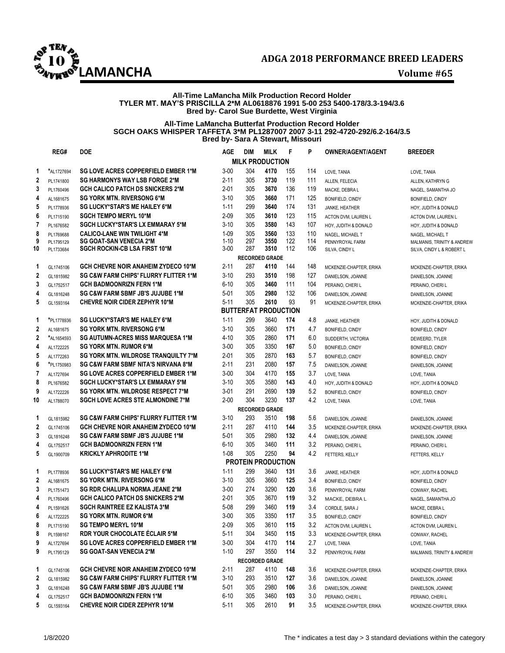

### **All-Time LaMancha Milk Production Record Holder TYLER MT. MAY'S PRISCILLA 2\*M AL0618876 1991 5-00 253 5400-178/3.3-194/3.6 Bred by- Carol Sue Burdette, West Virginia**

### **All-Time LaMancha Butterfat Production Record Holder SGCH OAKS WHISPER TAFFETA 3\*M PL1287007 2007 3-11 292-4720-292/6.2-164/3.5 Bred by- Sara A Stewart, Missouri**

|                | REG#                    | <b>DOE</b>                                       | AGE      | <b>DIM</b> | <b>MILK</b>                         | F          | P   | <b>OWNER/AGENT/AGENT</b>                 | <b>BREEDER</b>                              |
|----------------|-------------------------|--------------------------------------------------|----------|------------|-------------------------------------|------------|-----|------------------------------------------|---------------------------------------------|
|                |                         |                                                  |          |            | <b>MILK PRODUCTION</b>              |            |     |                                          |                                             |
| 1              | *AL1727694              | <b>SG LOVE ACRES COPPERFIELD EMBER 1*M</b>       | $3 - 00$ | 304        | 4170                                | 155        | 114 | LOVE, TANIA                              | LOVE, TANIA                                 |
| 2              | PL1741800               | <b>SG HARMONYS WAY LSB FORGE 2*M</b>             | $2 - 11$ | 305        | 3730                                | 119        | 111 | ALLEN, FELECIA                           | ALLEN, KATHRYN G                            |
| 3              | PL1760496               | <b>GCH CALICO PATCH DS SNICKERS 2*M</b>          | $2 - 01$ | 305        | 3670                                | 136        | 119 | MACKE, DEBRA L                           | NAGEL, SAMANTHA JO                          |
| 4              | AL1681675               | <b>SG YORK MTN. RIVERSONG 6*M</b>                | $3 - 10$ | 305        | 3660                                | 171        | 125 | <b>BONIFIELD, CINDY</b>                  | <b>BONIFIELD, CINDY</b>                     |
| 5              | PL1778936               | <b>SG LUCKY*STAR'S ME HAILEY 6*M</b>             | $1 - 11$ | 299        | 3640                                | 174        | 131 | JANKE, HEATHER                           | HOY, JUDITH & DONALD                        |
| 6              | PL1715190               | <b>SGCH TEMPO MERYL 10*M</b>                     | $2 - 09$ | 305        | 3610                                | 123        | 115 | ACTON DVM, LAUREN L                      | ACTON DVM, LAUREN L                         |
| 7              | PL1676582               | SGCH LUCKY*STAR'S LX EMMARAY 5*M                 | $3 - 10$ | 305        | 3580                                | 143        | 107 | HOY, JUDITH & DONALD                     | HOY, JUDITH & DONALD                        |
| 8              | PL1769688               | <b>CALICO-LANE WIN TWILIGHT 4*M</b>              | $1 - 09$ | 305        | 3560                                | 133        | 110 | NAGEL, MICHAEL T                         | NAGEL, MICHAEL T                            |
| 9              | PL1795129               | <b>SG GOAT-SAN VENECIA 2*M</b>                   | $1 - 10$ | 297        | 3550                                | 122        | 114 | PENNYROYAL FARM                          | MALMANIS, TRINITY & ANDREW                  |
| 10             | PL1733684               | <b>SGCH ROCKIN-CB LSA FIRST 10*M</b>             | $3 - 00$ | 287        | 3510                                | 112        | 106 | SILVA, CINDY L                           | SILVA, CINDY L & ROBERT L                   |
|                |                         |                                                  |          |            | <b>RECORDED GRADE</b>               |            |     |                                          |                                             |
| 1              | GL1745106               | <b>GCH CHEVRE NOIR ANAHEIM ZYDECO 10*M</b>       | $2 - 11$ | 287        | 4110                                | 144        | 148 | MCKENZIE-CHAPTER, ERIKA                  | MCKENZIE-CHAPTER, ERIKA                     |
| 2              | GL1815982               | <b>SG C&amp;W FARM CHIPS' FLURRY FLITTER 1*M</b> | $3 - 10$ | 293<br>305 | 3510                                | 198<br>111 | 127 | DANIELSON, JOANNE                        | DANIELSON, JOANNE                           |
| 3              | GL1752517               | <b>GCH BADMOONRIZN FERN 1*M</b>                  | $6 - 10$ |            | 3460                                |            | 104 | PERAINO, CHERI L                         | PERAINO, CHERI L                            |
| 4              | GL1816248               | <b>SG C&amp;W FARM SBMF JB'S JUJUBE 1*M</b>      | $5 - 01$ | 305        | 2980                                | 132        | 106 | DANIELSON, JOANNE                        | DANIELSON, JOANNE                           |
| 5              | GL1593164               | <b>CHEVRE NOIR CIDER ZEPHYR 10*M</b>             | $5 - 11$ | 305        | 2610<br><b>BUTTERFAT PRODUCTION</b> | 93         | 91  | MCKENZIE-CHAPTER, ERIKA                  | MCKENZIE-CHAPTER, ERIKA                     |
| 1              | *PL1778936              | <b>SG LUCKY*STAR'S ME HAILEY 6*M</b>             | $1 - 11$ | 299        | 3640                                | 174        | 4.8 |                                          |                                             |
| 2              |                         | <b>SG YORK MTN. RIVERSONG 6*M</b>                | $3 - 10$ | 305        | 3660                                | 171        | 4.7 | JANKE, HEATHER                           | HOY, JUDITH & DONALD                        |
| 2              | AL1681675<br>*AL1654593 | <b>SG AUTUMN-ACRES MISS MARQUESA 1*M</b>         | $4 - 10$ | 305        | 2860                                | 171        | 6.0 | BONIFIELD, CINDY                         | BONIFIELD, CINDY                            |
| 4              | AL1722225               | <b>SG YORK MTN. RUMOR 6*M</b>                    | $3 - 00$ | 305        | 3350                                | 167        | 5.0 | SUDDERTH, VICTORIA                       | DEWEERD, TYLER                              |
| 5              | AL1772263               | SG YORK MTN. WILDROSE TRANQUILTY 7*M             | $2 - 01$ | 305        | 2870                                | 163        | 5.7 | BONIFIELD, CINDY<br>BONIFIELD, CINDY     | BONIFIELD, CINDY<br><b>BONIFIELD, CINDY</b> |
| 6              | *PL1750983              | SG C&W FARM SBMF NITA'S NIRVANA 8*M              | $2 - 11$ | 231        | 2080                                | 157        | 7.5 |                                          |                                             |
| $\overline{7}$ | AL1727694               | SG LOVE ACRES COPPERFIELD EMBER 1*M              | $3 - 00$ | 304        | 4170                                | 155        | 3.7 | DANIELSON, JOANNE<br>LOVE, TANIA         | DANIELSON, JOANNE                           |
| 8              | PL1676582               | SGCH LUCKY*STAR'S LX EMMARAY 5*M                 | $3 - 10$ | 305        | 3580                                | 143        | 4.0 |                                          | LOVE, TANIA                                 |
| 9              | AL1722226               | SG YORK MTN. WILDROSE RESPECT 7*M                | $3 - 01$ | 291        | 2690                                | 139        | 5.2 | HOY, JUDITH & DONALD<br>BONIFIELD, CINDY | HOY, JUDITH & DONALD<br>BONIFIELD, CINDY    |
| 10             | AL1788070               | <b>SGCH LOVE ACRES STE ALMONDINE 7*M</b>         | $2 - 00$ | 304        | 3230                                | 137        | 4.2 | LOVE, TANIA                              | LOVE, TANIA                                 |
|                |                         |                                                  |          |            | <b>RECORDED GRADE</b>               |            |     |                                          |                                             |
| 1              | GL1815982               | <b>SG C&amp;W FARM CHIPS' FLURRY FLITTER 1*M</b> | $3-10$   | 293        | 3510                                | 198        | 5.6 | DANIELSON, JOANNE                        | DANIELSON, JOANNE                           |
| 2              | GL1745106               | <b>GCH CHEVRE NOIR ANAHEIM ZYDECO 10*M</b>       | $2 - 11$ | 287        | 4110                                | 144        | 3.5 | MCKENZIE-CHAPTER, ERIKA                  | MCKENZIE-CHAPTER, ERIKA                     |
| 3              | GL1816248               | <b>SG C&amp;W FARM SBMF JB'S JUJUBE 1*M</b>      | $5 - 01$ | 305        | 2980                                | 132        | 4.4 | DANIELSON, JOANNE                        | DANIELSON, JOANNE                           |
| 4              | GL1752517               | <b>GCH BADMOONRIZN FERN 1*M</b>                  | $6 - 10$ | 305        | 3460                                | 111        | 3.2 | PERAINO, CHERI L                         | PERAINO, CHERI L                            |
| 5              | GL1900709               | <b>KRICKLY APHRODITE 1*M</b>                     | $1 - 08$ | 305        | 2250                                | 94         | 4.2 | FETTERS, KELLY                           | FETTERS, KELLY                              |
|                |                         |                                                  |          |            | <b>PROTEIN PRODUCTION</b>           |            |     |                                          |                                             |
| 1              | PL1778936               | <b>SG LUCKY*STAR'S ME HAILEY 6*M</b>             | $1 - 11$ | 299        | 3640                                | 131        | 3.6 | JANKE, HEATHER                           | HOY, JUDITH & DONALD                        |
| 2              | AL1681675               | <b>SG YORK MTN. RIVERSONG 6*M</b>                | $3-10$   | 305        | 3660                                | 125        | 3.4 | BONIFIELD, CINDY                         | BONIFIELD, CINDY                            |
| 3              | PL1751473               | <b>SG RDR CHALUPA NORMA JEANE 2*M</b>            | $3 - 00$ | 274        | 3290                                | 120        | 3.6 | PENNYROYAL FARM                          | CONWAY, RACHEL                              |
| 4              | PL1760496               | <b>GCH CALICO PATCH DS SNICKERS 2*M</b>          | $2 - 01$ | 305        | 3670                                | 119        | 3.2 | MACKE, DEBRA L                           | NAGEL, SAMANTHA JO                          |
| 4              | PL1591626               | <b>SGCH RAINTREE EZ KALISTA 3*M</b>              | $5 - 08$ | 299        | 3460                                | 119        | 3.4 | CORDLE, SARA J                           | MACKE, DEBRA L                              |
| 6              | AL1722225               | <b>SG YORK MTN. RUMOR 6*M</b>                    | $3-00$   | 305        | 3350                                | 117        | 3.5 | BONIFIELD, CINDY                         | BONIFIELD, CINDY                            |
| 8              | PL1715190               | <b>SG TEMPO MERYL 10*M</b>                       | $2 - 09$ | 305        | 3610                                | 115        | 3.2 | ACTON DVM, LAUREN L                      | ACTON DVM, LAUREN L                         |
| 8              | PL1598167               | <b>RDR YOUR CHOCOLATE ÉCLAIR 5*M</b>             | $5 - 11$ | 304        | 3450                                | 115        | 3.3 | MCKENZIE-CHAPTER, ERIKA                  | CONWAY, RACHEL                              |
| 9              | AL1727694               | <b>SG LOVE ACRES COPPERFIELD EMBER 1*M</b>       | $3 - 00$ | 304        | 4170                                | 114        | 2.7 | LOVE, TANIA                              | LOVE, TANIA                                 |
| 9              | PL1795129               | <b>SG GOAT-SAN VENECIA 2*M</b>                   | $1-10$   | 297        | 3550                                | 114        | 3.2 | PENNYROYAL FARM                          | MALMANIS, TRINITY & ANDREW                  |
|                |                         |                                                  |          |            | <b>RECORDED GRADE</b>               |            |     |                                          |                                             |
| 1              | GL1745106               | <b>GCH CHEVRE NOIR ANAHEIM ZYDECO 10*M</b>       | 2-11     | 287        | 4110                                | 148        | 3.6 | MCKENZIE-CHAPTER, ERIKA                  | MCKENZIE-CHAPTER, ERIKA                     |
| 2              | GL1815982               | <b>SG C&amp;W FARM CHIPS' FLURRY FLITTER 1*M</b> | $3-10$   | 293        | 3510                                | 127        | 3.6 | DANIELSON, JOANNE                        | DANIELSON, JOANNE                           |
| 3              | GL1816248               | <b>SG C&amp;W FARM SBMF JB'S JUJUBE 1*M</b>      | 5-01     | 305        | 2980                                | 106        | 3.6 | DANIELSON, JOANNE                        | DANIELSON, JOANNE                           |
| 4              | GL1752517               | <b>GCH BADMOONRIZN FERN 1*M</b>                  | $6 - 10$ | 305        | 3460                                | 103        | 3.0 | PERAINO, CHERI L                         | PERAINO, CHERI L                            |
| 5              | GL1593164               | <b>CHEVRE NOIR CIDER ZEPHYR 10*M</b>             | 5-11     | 305        | 2610                                | 91         | 3.5 | MCKENZIE-CHAPTER, ERIKA                  | MCKENZIE-CHAPTER, ERIKA                     |
|                |                         |                                                  |          |            |                                     |            |     |                                          |                                             |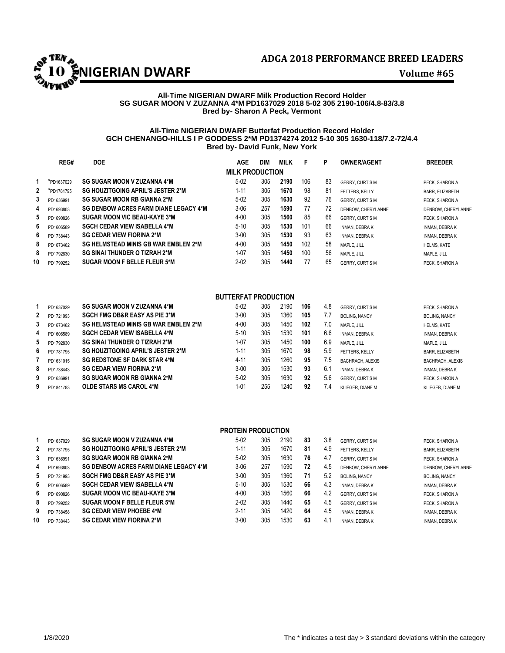

# **All-Time NIGERIAN DWARF Milk Production Record Holder SG SUGAR MOON V ZUZANNA 4\*M PD1637029 2018 5-02 305 2190-106/4.8-83/3.8 Bred by- Sharon A Peck, Vermont**

### **All-Time NIGERIAN DWARF Butterfat Production Record Holder GCH CHENANGO-HILLS I P GODDESS 2\*M PD1374274 2012 5-10 305 1630-118/7.2-72/4.4 Bred by- David Funk, New York**

|              | REG#       | <b>DOE</b>                                   | <b>AGE</b>             | DIM | <b>MILK</b> | F   | P  | <b>OWNER/AGENT</b>     | <b>BREEDER</b>         |
|--------------|------------|----------------------------------------------|------------------------|-----|-------------|-----|----|------------------------|------------------------|
|              |            |                                              | <b>MILK PRODUCTION</b> |     |             |     |    |                        |                        |
|              | *PD1637029 | <b>SG SUGAR MOON V ZUZANNA 4*M</b>           | $5-02$                 | 305 | 2190        | 106 | 83 | <b>GERRY, CURTIS M</b> | PECK. SHARON A         |
| $\mathbf{2}$ | *PD1781795 | SG HOUZITGOING APRIL'S JESTER 2*M            | $1 - 11$               | 305 | 1670        | 98  | 81 | FETTERS. KELLY         | <b>BARR, ELIZABETH</b> |
| 3            | PD1636991  | <b>SG SUGAR MOON RB GIANNA 2*M</b>           | $5-02$                 | 305 | 1630        | 92  | 76 | <b>GERRY, CURTIS M</b> | PECK. SHARON A         |
| 4            | PD1693803  | <b>SG DENBOW ACRES FARM DIANE LEGACY 4*M</b> | $3-06$                 | 257 | 1590        | 77  | 72 | DENBOW, CHERYLANNE     | DENBOW, CHERYLANNE     |
| 5            | PD1690826  | SUGAR MOON VIC BEAU-KAYE 3*M                 | $4 - 00$               | 305 | 1560        | 85  | 66 | <b>GERRY, CURTIS M</b> | PECK. SHARON A         |
| 6            | PD1606589  | <b>SGCH CEDAR VIEW ISABELLA 4*M</b>          | $5 - 10$               | 305 | 1530        | 101 | 66 | <b>INMAN, DEBRAK</b>   | <b>INMAN, DEBRAK</b>   |
| 6            | PD1738443  | <b>SG CEDAR VIEW FIORINA 2*M</b>             | $3 - 00$               | 305 | 1530        | 93  | 63 | <b>INMAN, DEBRAK</b>   | <b>INMAN, DEBRAK</b>   |
| 8            | PD1673462  | <b>SG HELMSTEAD MINIS GB WAR EMBLEM 2*M</b>  | $4 - 00$               | 305 | 1450        | 102 | 58 | MAPLE, JILL            | <b>HELMS, KATE</b>     |
| 8            | PD1792830  | <b>SG SINAI THUNDER O TIZRAH 2*M</b>         | $1 - 07$               | 305 | 1450        | 100 | 56 | MAPLE, JILL            | MAPLE, JILL            |
| 10           | PD1799252  | <b>SUGAR MOON F BELLE FLEUR 5*M</b>          | $2 - 02$               | 305 | 1440        | 77  | 65 | <b>GERRY, CURTIS M</b> | PECK. SHARON A         |

# **BUTTERFAT PRODUCTION**

|   | PD1637029 | <b>SG SUGAR MOON V ZUZANNA 4*M</b>       | $5-02$   | 305 | 2190 | 106 | 4.8           | <b>GERRY, CURTIS M</b> | PECK. SHARON A          |
|---|-----------|------------------------------------------|----------|-----|------|-----|---------------|------------------------|-------------------------|
| 2 | PD1721993 | <b>SGCH FMG DB&amp;R EASY AS PIE 3*M</b> | $3 - 00$ | 305 | 1360 | 105 | 7.7           | <b>BOLING, NANCY</b>   | <b>BOLING, NANCY</b>    |
| 3 | PD1673462 | SG HELMSTEAD MINIS GB WAR EMBLEM 2*M     | $4 - 00$ | 305 | 1450 | 102 | 7.0           | MAPLE, JILL            | <b>HELMS, KATE</b>      |
| 4 | PD1606589 | <b>SGCH CEDAR VIEW ISABELLA 4*M</b>      | $5 - 10$ | 305 | 1530 | 101 | 6.6           | <b>INMAN, DEBRAK</b>   | <b>INMAN, DEBRAK</b>    |
| 5 | PD1792830 | <b>SG SINAI THUNDER O TIZRAH 2*M</b>     | 1-07     | 305 | 1450 | 100 | 6.9           | MAPLE, JILL            | MAPLE, JILL             |
| 6 | PD1781795 | SG HOUZITGOING APRIL'S JESTER 2*M        | $1 - 11$ | 305 | 1670 | 98  | 5.9           | FETTERS. KELLY         | <b>BARR, ELIZABETH</b>  |
|   | PD1631015 | <b>SG REDSTONE SF DARK STAR 4*M</b>      | 4-11     | 305 | 1260 | 95  | 7.5           | BACHRACH, ALEXIS       | <b>BACHRACH, ALEXIS</b> |
| 8 | PD1738443 | <b>SG CEDAR VIEW FIORINA 2*M</b>         | $3 - 00$ | 305 | 1530 | 93  | 6.1           | <b>INMAN, DEBRAK</b>   | <b>INMAN, DEBRAK</b>    |
| 9 | PD1636991 | <b>SG SUGAR MOON RB GIANNA 2*M</b>       | $5-02$   | 305 | 1630 | 92  | 5.6           | <b>GERRY, CURTIS M</b> | PECK. SHARON A          |
| 9 | PD1841783 | <b>OLDE STARS MS CAROL 4*M</b>           | $1 - 01$ | 255 | 1240 | 92  | $\mathcal{A}$ | KLIEGER, DIANE M       | KLIEGER, DIANE M        |

|    | <b>PROTEIN PRODUCTION</b> |                                              |          |     |      |    |     |                        |                        |  |  |
|----|---------------------------|----------------------------------------------|----------|-----|------|----|-----|------------------------|------------------------|--|--|
|    | PD1637029                 | <b>SG SUGAR MOON V ZUZANNA 4*M</b>           | $5-02$   | 305 | 2190 | 83 | 3.8 | <b>GERRY, CURTIS M</b> | PECK. SHARON A         |  |  |
| 2  | PD1781795                 | SG HOUZITGOING APRIL'S JESTER 2*M            | $1 - 11$ | 305 | 1670 | 81 | 4.9 | FETTERS, KELLY         | <b>BARR, ELIZABETH</b> |  |  |
| 3  | PD1636991                 | <b>SG SUGAR MOON RB GIANNA 2*M</b>           | $5-02$   | 305 | 1630 | 76 | 4.7 | <b>GERRY, CURTIS M</b> | PECK. SHARON A         |  |  |
| 4  | PD1693803                 | <b>SG DENBOW ACRES FARM DIANE LEGACY 4*M</b> | $3-06$   | 257 | 1590 | 72 | 4.5 | DENBOW, CHERYLANNE     | DENBOW, CHERYLANNE     |  |  |
| 5  | PD1721993                 | <b>SGCH FMG DB&amp;R EASY AS PIE 3*M</b>     | $3 - 00$ | 305 | 1360 | 71 | 5.2 | <b>BOLING, NANCY</b>   | <b>BOLING, NANCY</b>   |  |  |
| 6  | PD1606589                 | <b>SGCH CEDAR VIEW ISABELLA 4*M</b>          | $5 - 10$ | 305 | 1530 | 66 | 4.3 | <b>INMAN, DEBRAK</b>   | <b>INMAN, DEBRAK</b>   |  |  |
| 6  | PD1690826                 | <b>SUGAR MOON VIC BEAU-KAYE 3*M</b>          | $4 - 00$ | 305 | 1560 | 66 | 4.2 | <b>GERRY, CURTIS M</b> | PECK. SHARON A         |  |  |
| 8  | PD1799252                 | SUGAR MOON F BELLE FLEUR 5*M                 | $2 - 02$ | 305 | 1440 | 65 | 4.5 | <b>GERRY, CURTIS M</b> | PECK. SHARON A         |  |  |
| 9  | PD1738458                 | <b>SG CEDAR VIEW PHOEBE 4*M</b>              | $2 - 11$ | 305 | 1420 | 64 | 4.5 | <b>INMAN, DEBRAK</b>   | <b>INMAN, DEBRAK</b>   |  |  |
| 10 | PD1738443                 | <b>SG CEDAR VIEW FIORINA 2*M</b>             | $3 - 00$ | 305 | 1530 | 63 | 4.1 | <b>INMAN, DEBRAK</b>   | INMAN, DEBRA K         |  |  |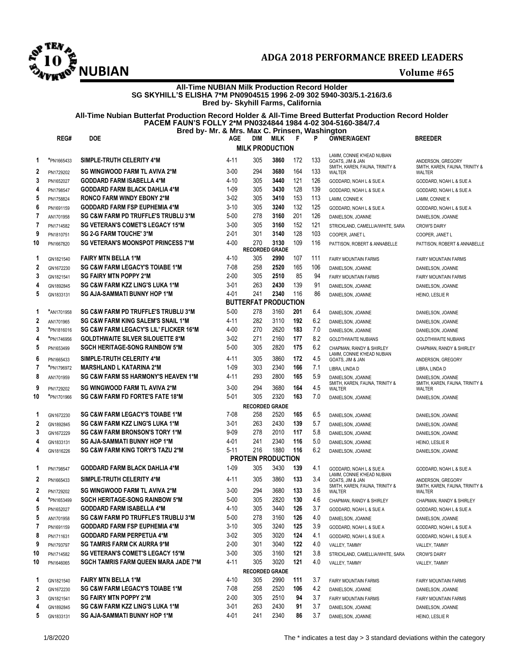

# **NUBIAN Volume #65**

# **All-Time NUBIAN Milk Production Record Holder SG SKYHILL'S ELISHA 7\*M PN0904515 1996 2-09 302 5940-303/5.1-216/3.6 Bred by- Skyhill Farms, California**

# **All-Time Nubian Butterfat Production Record Holder & All-Time Breed Butterfat Production Record Holder PACEM FAUN'S FOLLY 2\*M PN0324844 1984 4-02 304-5160-384/7.4 Bred by- Mr. & Mrs. Max C. Prinsen, Washington**

|                | REG#                    | <b>DOE</b>                                                                             | AGE              | DIM        | MILK                                | F          | P          | <b>OWNER/AGENT</b>                                                               | BREEDER                                             |
|----------------|-------------------------|----------------------------------------------------------------------------------------|------------------|------------|-------------------------------------|------------|------------|----------------------------------------------------------------------------------|-----------------------------------------------------|
|                |                         |                                                                                        |                  |            | <b>MILK PRODUCTION</b>              |            |            |                                                                                  |                                                     |
| 1              | *PN1665433              | SIMPLE-TRUTH CELERITY 4*M                                                              | $4 - 11$         | 305        | 3860                                | 172        | 133        | LAMM, CONNIE K'HEAD NUBIAN<br>GOATS, JIM & JAN<br>SMITH, KAREN, FAUNA, TRINITY & | ANDERSON, GREGORY<br>SMITH, KAREN, FAUNA, TRINITY & |
| $\mathbf{2}$   | PN1729202               | <b>SG WINGWOOD FARM TL AVIVA 2*M</b>                                                   | $3 - 00$         | 294        | 3680                                | 164        | 133        | <b>WALTER</b>                                                                    | <b>WALTER</b>                                       |
| 3              | PN1652027               | <b>GODDARD FARM ISABELLA 4*M</b>                                                       | $4 - 10$         | 305        | 3440                                | 121        | 126        | GODDARD, NOAH L & SUE A                                                          | GODDARD, NOAH L & SUE A                             |
| 4              | PN1798547               | <b>GODDARD FARM BLACK DAHLIA 4*M</b>                                                   | $1 - 09$         | 305        | 3430                                | 128        | 139        | GODDARD, NOAH L & SUE A                                                          | GODDARD, NOAH L & SUE A                             |
| 5              | PN1758824               | <b>RONCO FARM WINDY EBONY 2*M</b>                                                      | $3-02$           | 305        | 3410                                | 153        | 113        | LAMM, CONNIE K                                                                   | LAMM, CONNIE K                                      |
| 6              | PN1691159               | <b>GODDARD FARM FSP EUPHEMIA 4*M</b>                                                   | $3 - 10$         | 305        | 3240                                | 132        | 125        | GODDARD, NOAH L & SUE A                                                          | GODDARD, NOAH L & SUE A                             |
| 7              | AN1701958               | <b>SG C&amp;W FARM PD TRUFFLE'S TRUBLU 3*M</b>                                         | $5 - 00$         | 278        | 3160                                | 201        | 126        | DANIELSON, JOANNE                                                                | DANIELSON, JOANNE                                   |
| 7              | PN1714582               | <b>SG VETERAN'S COMET'S LEGACY 15*M</b>                                                | $3 - 00$         | 305        | 3160                                | 152        | 121        | STRICKLAND, CAMELLIA/WHITE, SARA                                                 | <b>CROW'S DAIRY</b>                                 |
| 9              | PN1810751               | SG 2-G FARM TOUCHE' 3*M                                                                | $2 - 01$         | 301        | 3140                                | 128        | 103        | COOPER, JANET L                                                                  | COOPER, JANET L                                     |
| 10             | PN1667820               | <b>SG VETERAN'S MOONSPOT PRINCESS 7*M</b>                                              | $4 - 00$         | 270        | 3130                                | 109        | 116        | PATTISON, ROBERT & ANNABELLE                                                     | PATTISON, ROBERT & ANNABELLE                        |
|                |                         | <b>FAIRY MTN BELLA 1*M</b>                                                             |                  | 305        | <b>RECORDED GRADE</b><br>2990       |            |            |                                                                                  |                                                     |
| 1              | GN1821540               | <b>SG C&amp;W FARM LEGACY'S TOIABE 1*M</b>                                             | $4 - 10$         | 258        | 2520                                | 107        | 111        | <b>FAIRY MOUNTAIN FARMS</b>                                                      | <b>FAIRY MOUNTAIN FARMS</b>                         |
| $\mathbf{2}$   | GN1672230               |                                                                                        | 7-08             |            |                                     | 165<br>85  | 106        | DANIELSON, JOANNE                                                                | DANIELSON, JOANNE                                   |
| 3              | GN1821541               | <b>SG FAIRY MTN POPPY 2*M</b>                                                          | $2 - 00$         | 305        | 2510                                |            | 94         | <b>FAIRY MOUNTAIN FARMS</b>                                                      | <b>FAIRY MOUNTAIN FARMS</b>                         |
| 4              | GN1892845               | SG C&W FARM KZZ LING'S LUKA 1*M                                                        | $3 - 01$         | 263        | 2430                                | 139<br>116 | 91         | DANIELSON, JOANNE                                                                | DANIELSON, JOANNE                                   |
| 5              | GN1833131               | SG AJA-SAMMATI BUNNY HOP 1*M                                                           | 4-01             | 241        | 2340<br><b>BUTTERFAT PRODUCTION</b> |            | 86         | DANIELSON, JOANNE                                                                | HEINO, LESLIE R                                     |
|                |                         | <b>SG C&amp;W FARM PD TRUFFLE'S TRUBLU 3*M</b>                                         |                  | 278        | 3160                                |            |            |                                                                                  |                                                     |
| 1              | *AN1701958              | <b>SG C&amp;W FARM KING SALEM'S SNAIL 1*M</b>                                          | $5 - 00$         |            |                                     | 201        | 6.4        | DANIELSON, JOANNE                                                                | DANIELSON, JOANNE                                   |
| $\mathbf{2}$   | AN1701965               |                                                                                        | $4 - 11$         | 282        | 3110                                | 192        | 6.2        | DANIELSON, JOANNE                                                                | DANIELSON, JOANNE                                   |
| 3              | *PN1816016              | <b>SG C&amp;W FARM LEGACY'S LIL' FLICKER 16*M</b>                                      | $4 - 00$         | 270        | 2620                                | 183        | 7.0        | DANIELSON, JOANNE                                                                | DANIELSON, JOANNE                                   |
| 4              | *PN1746956              | <b>GOLDTHWAITE SILVER SILOUETTE 8*M</b>                                                | $3-02$           | 271        | 2160                                | 177        | 8.2        | <b>GOLDTHWAITE NUBIANS</b>                                                       | <b>GOLDTHWAITE NUBIANS</b>                          |
| 5              | PN1653499               | <b>SGCH HERITAGE-SONG RAINBOW 5*M</b>                                                  | $5 - 00$         | 305        | 2820                                | 175        | 6.2        | CHAPMAN, RANDY & SHIRLEY<br>LAMM, CONNIE K'HEAD NUBIAN                           | CHAPMAN, RANDY & SHIRLEY                            |
| 6              | PN1665433               | SIMPLE-TRUTH CELERITY 4*M                                                              | 4-11             | 305        | 3860                                | 172        | 4.5        | GOATS, JIM & JAN                                                                 | ANDERSON, GREGORY                                   |
| $\overline{7}$ | *PN1796972              | <b>MARSHLAND L KATARINA 2*M</b>                                                        | $1 - 09$         | 303        | 2340                                | 166        | 7.1        | LIBRA, LINDA D                                                                   | LIBRA, LINDA D                                      |
| 8<br>9         | AN1701959               | <b>SG C&amp;W FARM SS HARMONY'S HEAVEN 1*M</b><br><b>SG WINGWOOD FARM TL AVIVA 2*M</b> | 4-11<br>$3 - 00$ | 293<br>294 | 2800<br>3680                        | 165<br>164 | 5.9<br>4.5 | DANIELSON, JOANNE<br>SMITH, KAREN, FAUNA, TRINITY &                              | DANIELSON, JOANNE<br>SMITH, KAREN, FAUNA, TRINITY & |
| 10             | PN1729202<br>*PN1701966 | <b>SG C&amp;W FARM FD FORTE'S FATE 18*M</b>                                            | $5 - 01$         | 305        | 2320                                | 163        | 7.0        | WALTER                                                                           | WALTER                                              |
|                |                         |                                                                                        |                  |            | <b>RECORDED GRADE</b>               |            |            | DANIELSON, JOANNE                                                                | DANIELSON, JOANNE                                   |
| 1              | GN1672230               | <b>SG C&amp;W FARM LEGACY'S TOIABE 1*M</b>                                             | $7-08$           | 258        | 2520                                | 165        | 6.5        | DANIELSON, JOANNE                                                                | DANIELSON, JOANNE                                   |
| 2              | GN1892845               | SG C&W FARM KZZ LING'S LUKA 1*M                                                        | $3 - 01$         | 263        | 2430                                | 139        | 5.7        | DANIELSON, JOANNE                                                                | DANIELSON, JOANNE                                   |
| 3              | GN1672229               | <b>SG C&amp;W FARM BRONSON'S TORY 1*M</b>                                              | $9 - 09$         | 278        | 2010                                | 117        | 5.8        | DANIELSON, JOANNE                                                                | DANIELSON, JOANNE                                   |
| 4              | GN1833131               | SG AJA-SAMMATI BUNNY HOP 1*M                                                           | 4-01             | 241        | 2340                                | 116        | 5.0        | DANIELSON, JOANNE                                                                | HEINO, LESLIE R                                     |
| 4              | GN1816226               | <b>SG C&amp;W FARM KING TORY'S TAZU 2*M</b>                                            | $5 - 11$         | 216        | 1880                                | 116        | 6.2        | DANIELSON, JOANNE                                                                | DANIELSON, JOANNE                                   |
|                |                         |                                                                                        |                  |            | <b>PROTEIN PRODUCTION</b>           |            |            |                                                                                  |                                                     |
| 1              | PN1798547               | <b>GODDARD FARM BLACK DAHLIA 4*M</b>                                                   | $1 - 09$         | 305        | 3430                                | 139        | 4.1        | GODDARD, NOAH L & SUE A                                                          | GODDARD, NOAH L & SUE A                             |
| 2              | PN1665433               | SIMPLE-TRUTH CELERITY 4*M                                                              | 4-11             | 305        | 3860                                | 133        | 3.4        | LAMM, CONNIE K'HEAD NUBIAN<br>GOATS. JIM & JAN                                   | ANDERSON, GREGORY                                   |
| $\mathbf{2}$   | PN1729202               | <b>SG WINGWOOD FARM TL AVIVA 2*M</b>                                                   | $3 - 00$         | 294        | 3680                                | 133        | 3.6        | SMITH, KAREN, FAUNA, TRINITY &<br>WALTER                                         | SMITH, KAREN, FAUNA, TRINITY &<br>WALTER            |
| 4              | *PN1653499              | <b>SGCH HERITAGE-SONG RAINBOW 5*M</b>                                                  | $5 - 00$         | 305        | 2820                                | 130        | 4.6        | CHAPMAN, RANDY & SHIRLEY                                                         | CHAPMAN, RANDY & SHIRLEY                            |
| 5              | PN1652027               | GODDARD FARM ISABELLA 4*M                                                              | 4-10             | 305        | 3440                                | 126        | 3.7        | GODDARD, NOAH L & SUE A                                                          | GODDARD, NOAH L & SUE A                             |
| 5              | AN1701958               | <b>SG C&amp;W FARM PD TRUFFLE'S TRUBLU 3*M</b>                                         | $5 - 00$         | 278        | 3160                                | 126        | 4.0        | DANIELSON, JOANNE                                                                | DANIELSON, JOANNE                                   |
| 7              | PN1691159               | <b>GODDARD FARM FSP EUPHEMIA 4*M</b>                                                   | $3-10$           | 305        | 3240                                | 125        | 3.9        | GODDARD, NOAH L & SUE A                                                          | GODDARD, NOAH L & SUE A                             |
| 8              | PN1711631               | <b>GODDARD FARM PERPETUA 4*M</b>                                                       | $3-02$           | 305        | 3020                                | 124        | 4.1        | GODDARD, NOAH L & SUE A                                                          | GODDARD, NOAH L & SUE A                             |
| 9              | PN1793797               | <b>SG TAMRIS FARM CK AURRA 9*M</b>                                                     | $2 - 00$         | 301        | 3040                                | 122        | 4.0        | VALLEY, TAMMY                                                                    | VALLEY, TAMMY                                       |
| 10             | PN1714582               | <b>SG VETERAN'S COMET'S LEGACY 15*M</b>                                                | $3 - 00$         | 305        | 3160                                | 121        | 3.8        | STRICKLAND, CAMELLIA/WHITE, SARA                                                 | <b>CROW'S DAIRY</b>                                 |
| 10             | PN1646065               | <b>SGCH TAMRIS FARM QUEEN MARA JADE 7*M</b>                                            | 4-11             | 305        | 3020                                | 121        | 4.0        | VALLEY, TAMMY                                                                    | VALLEY, TAMMY                                       |
|                |                         |                                                                                        |                  |            | <b>RECORDED GRADE</b>               |            |            |                                                                                  |                                                     |
| 1              | GN1821540               | <b>FAIRY MTN BELLA 1*M</b>                                                             | 4-10             | 305        | 2990                                | 111        | 3.7        | FAIRY MOUNTAIN FARMS                                                             | FAIRY MOUNTAIN FARMS                                |
| $\mathbf{2}$   | GN1672230               | <b>SG C&amp;W FARM LEGACY'S TOIABE 1*M</b>                                             | 7-08             | 258        | 2520                                | 106        | 4.2        | DANIELSON, JOANNE                                                                | DANIELSON, JOANNE                                   |
| 3              | GN1821541               | <b>SG FAIRY MTN POPPY 2*M</b>                                                          | $2 - 00$         | 305        | 2510                                | 94         | 3.7        | FAIRY MOUNTAIN FARMS                                                             | FAIRY MOUNTAIN FARMS                                |
| 4              | GN1892845               | SG C&W FARM KZZ LING'S LUKA 1*M                                                        | $3 - 01$         | 263        | 2430                                | 91         | 3.7        | DANIELSON, JOANNE                                                                | DANIELSON, JOANNE                                   |
| 5              | GN1833131               | SG AJA-SAMMATI BUNNY HOP 1*M                                                           | 4-01             | 241        | 2340                                | 86         | 3.7        | DANIELSON, JOANNE                                                                | HEINO, LESLIE R                                     |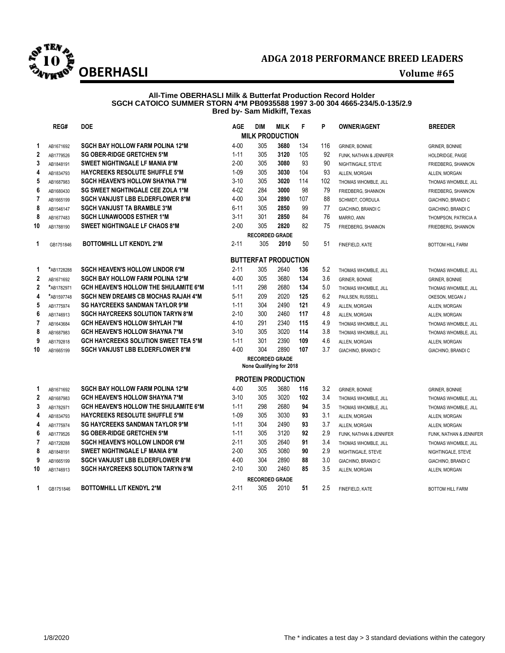

### **All-Time OBERHASLI Milk & Butterfat Production Record Holder SGCH CATOICO SUMMER STORN 4\*M PB0935588 1997 3-00 304 4665-234/5.0-135/2.9 Bred by- Sam Midkiff, Texas**

|                | REG#       | <b>DOE</b>                                   | AGE      | DIM                   | <b>MILK</b>                 | F   | P   | <b>OWNER/AGENT</b>      | <b>BREEDER</b>          |
|----------------|------------|----------------------------------------------|----------|-----------------------|-----------------------------|-----|-----|-------------------------|-------------------------|
|                |            |                                              |          |                       | <b>MILK PRODUCTION</b>      |     |     |                         |                         |
| 1              | AB1671692  | <b>SGCH BAY HOLLOW FARM POLINA 12*M</b>      | $4 - 00$ | 305                   | 3680                        | 134 | 116 | <b>GRINER, BONNIE</b>   | <b>GRINER, BONNIE</b>   |
| $\mathbf 2$    | AB1779526  | <b>SG OBER-RIDGE GRETCHEN 5*M</b>            | $1 - 11$ | 305                   | 3120                        | 105 | 92  | FUNK, NATHAN & JENNIFER | HOLDRIDGE, PAIGE        |
| 3              | AB1848191  | SWEET NIGHTINGALE LF MANIA 8*M               | $2 - 00$ | 305                   | 3080                        | 93  | 90  | NIGHTINGALE, STEVE      | FRIEDBERG, SHANNON      |
| 4              | AB1834793  | <b>HAYCREEKS RESOLUTE SHUFFLE 5*M</b>        | $1 - 09$ | 305                   | 3030                        | 104 | 93  | ALLEN, MORGAN           | ALLEN, MORGAN           |
| 5              | AB1687983  | <b>SGCH HEAVEN'S HOLLOW SHAYNA 7*M</b>       | $3 - 10$ | 305                   | 3020                        | 114 | 102 | THOMAS WHOMBLE, JILL    | THOMAS WHOMBLE, JILL    |
| 6              | AB1680430  | <b>SG SWEET NIGHTINGALE CEE ZOLA 1*M</b>     | $4 - 02$ | 284                   | 3000                        | 98  | 79  | FRIEDBERG, SHANNON      | FRIEDBERG, SHANNON      |
| 7              | AB1665199  | <b>SGCH VANJUST LBB ELDERFLOWER 8*M</b>      | $4 - 00$ | 304                   | 2890                        | 107 | 88  | SCHMIDT, CORDULA        | GIACHINO, BRANDI C      |
| 8              | AB1546147  | <b>SGCH VANJUST TA BRAMBLE 3*M</b>           | $6 - 11$ | 305                   | 2850                        | 99  | 77  | GIACHINO, BRANDI C      | GIACHINO, BRANDI C      |
| 8              | AB1677483  | <b>SGCH LUNAWOODS ESTHER 1*M</b>             | $3 - 11$ | 301                   | 2850                        | 84  | 76  | MARRO, ANN              | THOMPSON, PATRICIA A    |
| 10             | AB1788190  | <b>SWEET NIGHTINGALE LF CHAOS 8*M</b>        | $2 - 00$ | 305                   | 2820                        | 82  | 75  | FRIEDBERG, SHANNON      | FRIEDBERG, SHANNON      |
|                |            |                                              |          | <b>RECORDED GRADE</b> |                             |     |     |                         |                         |
| 1              | GB1751846  | <b>BOTTOMHILL LIT KENDYL 2*M</b>             | $2 - 11$ | 305                   | 2010                        | 50  | 51  | FINEFIELD, KATE         | <b>BOTTOM HILL FARM</b> |
|                |            |                                              |          |                       | <b>BUTTERFAT PRODUCTION</b> |     |     |                         |                         |
| 1              | *AB1728288 | <b>SGCH HEAVEN'S HOLLOW LINDOR 6*M</b>       | $2 - 11$ | 305                   | 2640                        | 136 | 5.2 | THOMAS WHOMBLE, JILL    | THOMAS WHOMBLE, JILL    |
| $\mathbf 2$    | AB1671692  | <b>SGCH BAY HOLLOW FARM POLINA 12*M</b>      | $4 - 00$ | 305                   | 3680                        | 134 | 3.6 | <b>GRINER, BONNIE</b>   | <b>GRINER, BONNIE</b>   |
| 2              | *AB1782971 | <b>GCH HEAVEN'S HOLLOW THE SHULAMITE 6*M</b> | $1 - 11$ | 298                   | 2680                        | 134 | 5.0 | THOMAS WHOMBLE, JILL    | THOMAS WHOMBLE, JILL    |
| 4              | *AB1597748 | <b>SGCH NEW DREAMS CB MOCHAS RAJAH 4*M</b>   | $5 - 11$ | 209                   | 2020                        | 125 | 6.2 | PAULSEN, RUSSELL        | OKESON, MEGAN J         |
| 5              | AB1775974  | <b>SG HAYCREEKS SANDMAN TAYLOR 9*M</b>       | $1 - 11$ | 304                   | 2490                        | 121 | 4.9 | ALLEN, MORGAN           | ALLEN, MORGAN           |
| 6              | AB1746913  | <b>SGCH HAYCREEKS SOLUTION TARYN 8*M</b>     | $2 - 10$ | 300                   | 2460                        | 117 | 4.8 | ALLEN, MORGAN           | ALLEN, MORGAN           |
| 7              | AB1643684  | <b>GCH HEAVEN'S HOLLOW SHYLAH 7*M</b>        | $4 - 10$ | 291                   | 2340                        | 115 | 4.9 | THOMAS WHOMBLE, JILL    | THOMAS WHOMBLE, JILL    |
| 8              | AB1687983  | <b>GCH HEAVEN'S HOLLOW SHAYNA 7*M</b>        | $3 - 10$ | 305                   | 3020                        | 114 | 3.8 | THOMAS WHOMBLE, JILL    | THOMAS WHOMBLE, JILL    |
| 9              | AB1792818  | <b>GCH HAYCREEKS SOLUTION SWEET TEA 5*M</b>  | $1 - 11$ | 301                   | 2390                        | 109 | 4.6 | ALLEN. MORGAN           | ALLEN, MORGAN           |
| 10             | AB1665199  | <b>SGCH VANJUST LBB ELDERFLOWER 8*M</b>      | $4 - 00$ | 304                   | 2890                        | 107 | 3.7 | GIACHINO, BRANDI C      | GIACHINO, BRANDI C      |
|                |            |                                              |          | <b>RECORDED GRADE</b> | None Qualifying for 2018    |     |     |                         |                         |
|                |            |                                              |          |                       | <b>PROTEIN PRODUCTION</b>   |     |     |                         |                         |
| 1              | AB1671692  | <b>SGCH BAY HOLLOW FARM POLINA 12*M</b>      | $4 - 00$ | 305                   | 3680                        | 116 | 3.2 | <b>GRINER, BONNIE</b>   | <b>GRINER, BONNIE</b>   |
| $\mathbf 2$    | AB1687983  | <b>GCH HEAVEN'S HOLLOW SHAYNA 7*M</b>        | $3 - 10$ | 305                   | 3020                        | 102 | 3.4 | THOMAS WHOMBLE, JILL    | THOMAS WHOMBLE, JILL    |
| 3              | AB1782971  | <b>GCH HEAVEN'S HOLLOW THE SHULAMITE 6*M</b> | $1 - 11$ | 298                   | 2680                        | 94  | 3.5 | THOMAS WHOMBLE, JILL    | THOMAS WHOMBLE, JILL    |
| 4              | AB1834793  | <b>HAYCREEKS RESOLUTE SHUFFLE 5*M</b>        | $1 - 09$ | 305                   | 3030                        | 93  | 3.1 | ALLEN, MORGAN           | ALLEN, MORGAN           |
| 4              | AB1775974  | <b>SG HAYCREEKS SANDMAN TAYLOR 9*M</b>       | $1 - 11$ | 304                   | 2490                        | 93  | 3.7 | ALLEN, MORGAN           | ALLEN, MORGAN           |
| 6              | AB1779526  | <b>SG OBER-RIDGE GRETCHEN 5*M</b>            | $1 - 11$ | 305                   | 3120                        | 92  | 2.9 | FUNK, NATHAN & JENNIFER | FUNK, NATHAN & JENNIFER |
| $\overline{7}$ | AB1728288  | <b>SGCH HEAVEN'S HOLLOW LINDOR 6*M</b>       | $2 - 11$ | 305                   | 2640                        | 91  | 3.4 | THOMAS WHOMBLE, JILL    | THOMAS WHOMBLE, JILL    |
| 8              | AB1848191  | <b>SWEET NIGHTINGALE LF MANIA 8*M</b>        | $2 - 00$ | 305                   | 3080                        | 90  | 2.9 | NIGHTINGALE, STEVE      | NIGHTINGALE, STEVE      |
| 9              | AB1665199  | <b>SGCH VANJUST LBB ELDERFLOWER 8*M</b>      | $4 - 00$ | 304                   | 2890                        | 88  | 3.0 | GIACHINO, BRANDI C      | GIACHINO, BRANDI C      |
| 10             | AB1746913  | <b>SGCH HAYCREEKS SOLUTION TARYN 8*M</b>     | $2 - 10$ | 300                   | 2460                        | 85  | 3.5 | ALLEN, MORGAN           | ALLEN, MORGAN           |
|                |            |                                              |          | <b>RECORDED GRADE</b> |                             |     |     |                         |                         |
| $\mathbf 1$    | GB1751846  | <b>BOTTOMHILL LIT KENDYL 2*M</b>             | $2 - 11$ | 305                   | 2010                        | 51  | 2.5 | FINEFIELD, KATE         | <b>BOTTOM HILL FARM</b> |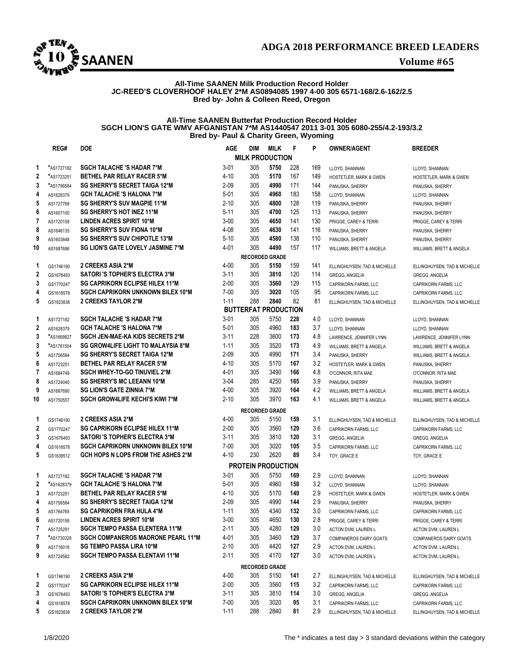

# **All-Time SAANEN Milk Production Record Holder JC-REED'S CLOVERHOOF HALEY 2\*M AS0894085 1997 4-00 305 6571-168/2.6-162/2.5 Bred by- John & Colleen Reed, Oregon**

### **All-Time SAANEN Butterfat Production Record Holder SGCH LION'S GATE WMV AFGANISTAN 7\*M AS1440547 2011 3-01 305 6080-255/4.2-193/3.2 Bred by- Paul & Charity Green, Wyoming**

|                | REG#       | <b>DOE</b>                                | <b>AGE</b> | <b>DIM</b>                  | <b>MILK</b> | F   | P   | <b>OWNER/AGENT</b>           | <b>BREEDER</b>               |
|----------------|------------|-------------------------------------------|------------|-----------------------------|-------------|-----|-----|------------------------------|------------------------------|
|                |            |                                           |            | <b>MILK PRODUCTION</b>      |             |     |     |                              |                              |
| 1              | *AS1727182 | <b>SGCH TALACHE 'S HADAR 7*M</b>          | $3 - 01$   | 305                         | 5750        | 228 | 169 | LLOYD, SHANNAN               | LLOYD, SHANNAN               |
| $\overline{2}$ | *AS1723251 | <b>BETHEL PAR RELAY RACER 5*M</b>         | 4-10       | 305                         | 5170        | 167 | 149 | HOSTETLER, MARK & GWEN       | HOSTETLER, MARK & GWEN       |
| 3              | *AS1756584 | <b>SG SHERRY'S SECRET TAIGA 12*M</b>      | $2 - 09$   | 305                         | 4990        | 171 | 144 | PANUSKA, SHERRY              | PANUSKA, SHERRY              |
| 4              | AS1628379  | <b>GCH TALACHE 'S HALONA 7*M</b>          | $5 - 01$   | 305                         | 4960        | 183 | 158 | LLOYD, SHANNAN               | LLOYD, SHANNAN               |
| 5              | AS1727768  | <b>SG SHERRY'S SUV MAGPIE 11*M</b>        | $2 - 10$   | 305                         | 4800        | 128 | 119 | PANUSKA, SHERRY              | PANUSKA, SHERRY              |
| 6              | AS1607100  | SG SHERRY'S HOT INEZ 11*M                 | 5-11       | 305                         | 4700        | 125 | 113 | PANUSKA, SHERRY              | PANUSKA, SHERRY              |
| 7              | AS1720158  | <b>LINDEN ACRES SPIRIT 10*M</b>           | $3-00$     | 305                         | 4650        | 141 | 130 | PRIGGE, CAREY & TERRI        | PRIGGE, CAREY & TERRI        |
| 8              | AS1646135  | <b>SG SHERRY'S SUV FIONA 10*M</b>         | 4-08       | 305                         | 4630        | 141 | 116 | PANUSKA, SHERRY              | PANUSKA, SHERRY              |
| 9              | AS1603848  | <b>SG SHERRY'S SUV CHIPOTLE 13*M</b>      | $5 - 10$   | 305                         | 4580        | 138 | 110 | PANUSKA, SHERRY              | PANUSKA, SHERRY              |
| 10             | AS1687686  | <b>SG LION'S GATE LOVELY JASMINE 7*M</b>  | 4-01       | 305                         | 4490        | 157 | 117 | WILLIAMS, BRETT & ANGELA     | WILLIAMS, BRETT & ANGELA     |
|                |            |                                           |            | <b>RECORDED GRADE</b>       |             |     |     |                              |                              |
| 1              | GS1746190  | <b>2 CREEKS ASIA 2*M</b>                  | 4-00       | 305                         | 5150        | 159 | 141 | ELLINGHUYSEN, TAD & MICHELLE | ELLINGHUYSEN, TAD & MICHELLE |
| $\mathbf{2}$   | GS1676493  | <b>SATORI'S TOPHER'S ELECTRA 3*M</b>      | $3 - 11$   | 305                         | 3810        | 120 | 114 | GREGG, ANGELIA               | GREGG, ANGELIA               |
| 3              | GS1770247  | <b>SG CAPRIKORN ECLIPSE HILEX 11*M</b>    | $2 - 00$   | 305                         | 3560        | 129 | 115 | CAPRIKORN FARMS, LLC         | CAPRIKORN FARMS, LLC         |
| 4              | GS1618578  | <b>SGCH CAPRIKORN UNKNOWN BILEX 10*M</b>  | $7 - 00$   | 305                         | 3020        | 105 | 95  | CAPRIKORN FARMS, LLC         | CAPRIKORN FARMS, LLC         |
| 5              | GS1823838  | <b>2 CREEKS TAYLOR 2*M</b>                | $1 - 11$   | 288                         | 2840        | 82  | 81  | ELLINGHUYSEN, TAD & MICHELLE | ELLINGHUYSEN, TAD & MICHELLE |
|                |            |                                           |            | <b>BUTTERFAT PRODUCTION</b> |             |     |     |                              |                              |
| 1              | AS1727182  | <b>SGCH TALACHE 'S HADAR 7*M</b>          | 3-01       | 305                         | 5750        | 228 | 4.0 | LLOYD, SHANNAN               | LLOYD, SHANNAN               |
| 2              | AS1628379  | <b>GCH TALACHE 'S HALONA 7*M</b>          | 5-01       | 305                         | 4960        | 183 | 3.7 | LLOYD, SHANNAN               | LLOYD, SHANNAN               |
| 3              | *AS1669827 | SGCH JEN-MAE-KA KIDS SECRETS 2*M          | $3 - 11$   | 228                         | 3600        | 173 | 4.8 | LAWRENCE, JENNIFER LYNN      | LAWRENCE, JENNIFER LYNN      |
| 3              | *AS1781504 | SG GROW4LIFE LIGHT TO MALAYSIA 8*M        | $1 - 11$   | 305                         | 3520        | 173 | 4.9 | WILLIAMS, BRETT & ANGELA     | WILLIAMS, BRETT & ANGELA     |
| 5              | AS1756584  | <b>SG SHERRY'S SECRET TAIGA 12*M</b>      | $2 - 09$   | 305                         | 4990        | 171 | 3.4 | PANUSKA, SHERRY              | WILLIAMS, BRETT & ANGELA     |
| 6              | AS1723251  | <b>BETHEL PAR RELAY RACER 5*M</b>         | 4-10       | 305                         | 5170        | 167 | 3.2 | HOSTETLER, MARK & GWEN       | PANUSKA, SHERRY              |
| 7              | AS1684749  | <b>SGCH WHEY-TO-GO TINUVIEL 2*M</b>       | 4-01       | 305                         | 3490        | 166 | 4.8 | O'CONNOR, RITA MAE           | O'CONNOR, RITA MAE           |
| 8              | AS1724040  | <b>SG SHERRY'S MC LEEANN 10*M</b>         | $3-04$     | 285                         | 4250        | 165 | 3.9 | PANUSKA, SHERRY              | PANUSKA, SHERRY              |
| 9              | AS1687690  | <b>SG LION'S GATE ZINNIA 7*M</b>          | 4-00       | 305                         | 3920        | 164 | 4.2 | WILLIAMS, BRETT & ANGELA     | WILLIAMS, BRETT & ANGELA     |
| 10             | AS1750557  | <b>SGCH GROW4LIFE KECHI'S KIWI 7*M</b>    | $2 - 10$   | 305                         | 3970        | 163 | 4.1 | WILLIAMS, BRETT & ANGELA     | WILLIAMS, BRETT & ANGELA     |
|                |            |                                           |            | <b>RECORDED GRADE</b>       |             |     |     |                              |                              |
| 1              | GS1746190  | 2 CREEKS ASIA 2*M                         | 4-00       | 305                         | 5150        | 159 | 3.1 | ELLINGHUYSEN, TAD & MICHELLE | ELLINGHUYSEN, TAD & MICHELLE |
| 2              | GS1770247  | <b>SG CAPRIKORN ECLIPSE HILEX 11*M</b>    | $2 - 00$   | 305                         | 3560        | 129 | 3.6 | CAPRIKORN FARMS, LLC         | CAPRIKORN FARMS, LLC         |
| 3              | GS1676493  | <b>SATORI'S TOPHER'S ELECTRA 3*M</b>      | 3-11       | 305                         | 3810        | 120 | 3.1 | <b>GREGG, ANGELIA</b>        | <b>GREGG, ANGELIA</b>        |
| 4              | GS1618578  | <b>SGCH CAPRIKORN UNKNOWN BILEX 10*M</b>  | $7 - 00$   | 305                         | 3020        | 105 | 3.5 | CAPRIKORN FARMS, LLC         | CAPRIKORN FARMS, LLC         |
| 5              | GS1639512  | <b>GCH HOPS N LOPS FROM THE ASHES 2*M</b> | $4 - 10$   | 230                         | 2620        | 89  | 3.4 | TOY, GRACE E                 | TOY, GRACE E                 |
|                |            |                                           |            | <b>PROTEIN PRODUCTION</b>   |             |     |     |                              |                              |
| 1              | AS1727182  | <b>SGCH TALACHE 'S HADAR 7*M</b>          | $3 - 01$   | 305                         | 5750        | 169 | 2.9 | LLOYD, SHANNAN               | LLOYD, SHANNAN               |
| 2              | *AS1628379 | <b>GCH TALACHE 'S HALONA 7*M</b>          | 5-01       | 305                         | 4960        | 158 | 3.2 | LLOYD, SHANNAN               | LLOYD, SHANNAN               |
| 3              | AS1723251  | <b>BETHEL PAR RELAY RACER 5*M</b>         | 4-10       | 305                         | 5170        | 149 | 2.9 | HOSTETLER, MARK & GWEN       | HOSTETLER, MARK & GWEN       |
| 4              | AS1756584  | <b>SG SHERRY'S SECRET TAIGA 12*M</b>      | $2 - 09$   | 305                         | 4990        | 144 | 2.9 | PANUSKA, SHERRY              | PANUSKA, SHERRY              |
| 5              | AS1764765  | <b>SG CAPRIKORN FRA HULA 4*M</b>          | $1 - 11$   | 305                         | 4340        | 132 | 3.0 | CAPRIKORN FARMS, LLC         | CAPRIKORN FARMS, LLC         |
| 6              | AS1720158  | LINDEN ACRES SPIRIT 10*M                  | $3-00$     | 305                         | 4650        | 130 | 2.8 | PRIGGE, CAREY & TERRI        | PRIGGE, CAREY & TERRI        |
| 7              | AS1725291  | <b>SGCH TEMPO PASSA ELENTERA 11*M</b>     | $2 - 11$   | 305                         | 4280        | 129 | 3.0 | ACTON DVM, LAUREN L          | ACTON DVM, LAUREN L          |
| 7              | *AS1730328 | <b>SGCH COMPANEROS MADRONE PEARL 11*M</b> | 4-01       | 305                         | 3460        | 129 | 3.7 | COMPANEROS DAIRY GOATS       | COMPANEROS DAIRY GOATS       |
| 9              | AS1716018  | <b>SG TEMPO PASSA LIRA 10*M</b>           | $2 - 10$   | 305                         | 4420        | 127 | 2.9 | ACTON DVM, LAUREN L          | ACTON DVM, LAUREN L          |
| 9              | AS1724582  | <b>SGCH TEMPO PASSA ELENTAVI 11*M</b>     | $2 - 11$   | 305                         | 4170        | 127 | 3.0 | ACTON DVM, LAUREN L          | ACTON DVM, LAUREN L          |
|                |            |                                           |            | <b>RECORDED GRADE</b>       |             |     |     |                              |                              |
| 1              | GS1746190  | 2 CREEKS ASIA 2*M                         | 4-00       | 305                         | 5150        | 141 | 2.7 | ELLINGHUYSEN, TAD & MICHELLE | ELLINGHUYSEN, TAD & MICHELLE |
| $\mathbf{2}$   | GS1770247  | <b>SG CAPRIKORN ECLIPSE HILEX 11*M</b>    | $2 - 00$   | 305                         | 3560        | 115 | 3.2 | CAPRIKORN FARMS, LLC         | CAPRIKORN FARMS, LLC         |
| 3              | GS1676493  | <b>SATORI'S TOPHER'S ELECTRA 3*M</b>      | 3-11       | 305                         | 3810        | 114 | 3.0 | GREGG, ANGELIA               | GREGG, ANGELIA               |
| 4              | GS1618578  | <b>SGCH CAPRIKORN UNKNOWN BILEX 10*M</b>  | $7 - 00$   | 305                         | 3020        | 95  | 3.1 | CAPRIKORN FARMS, LLC         | CAPRIKORN FARMS, LLC         |
| 5              | GS1823838  | <b>2 CREEKS TAYLOR 2*M</b>                | $1 - 11$   | 288                         | 2840        | 81  | 2.9 | ELLINGHUYSEN, TAD & MICHELLE | ELLINGHUYSEN, TAD & MICHELLE |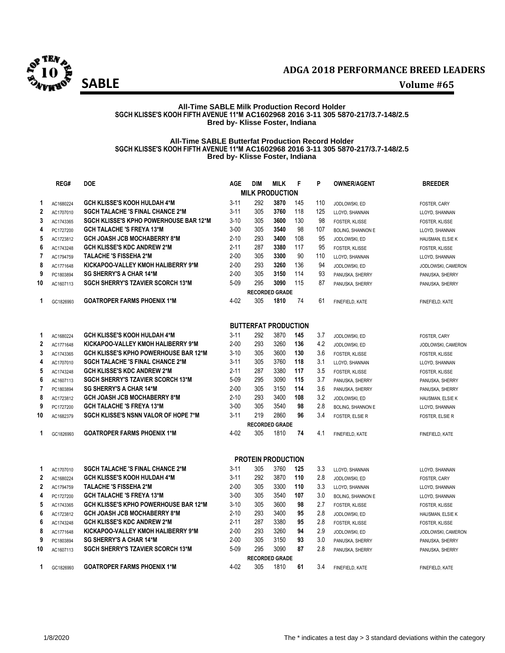

# **All-Time SABLE Milk Production Record Holder SGCH KLISSE'S KOOH FIFTH AVENUE 11\*M AC1602968 2016 3-11 305 5870-217/3.7-148/2.5 Bred by- Klisse Foster, Indiana**

### **All-Time SABLE Butterfat Production Record Holder SGCH KLISSE'S KOOH FIFTH AVENUE 11\*M AC1602968 2016 3-11 305 5870-217/3.7-148/2.5 Bred by- Klisse Foster, Indiana**

|                | REG#      | <b>DOE</b>                                    | <b>AGE</b> | <b>DIM</b>                  | <b>MILK</b>           | F   | P   | <b>OWNER/AGENT</b>       | <b>BREEDER</b>        |
|----------------|-----------|-----------------------------------------------|------------|-----------------------------|-----------------------|-----|-----|--------------------------|-----------------------|
|                |           |                                               |            | <b>MILK PRODUCTION</b>      |                       |     |     |                          |                       |
| 1              | AC1680224 | <b>GCH KLISSE'S KOOH HULDAH 4*M</b>           | $3 - 11$   | 292                         | 3870                  | 145 | 110 | JODLOWSKI, ED            | FOSTER, CARY          |
| $\mathbf 2$    | AC1707010 | <b>SGCH TALACHE 'S FINAL CHANCE 2*M</b>       | $3 - 11$   | 305                         | 3760                  | 118 | 125 | LLOYD, SHANNAN           | LLOYD, SHANNAN        |
| 3              | AC1743365 | <b>SGCH KLISSE'S KPHO POWERHOUSE BAR 12*M</b> | $3-10$     | 305                         | 3600                  | 130 | 98  | FOSTER, KLISSE           | FOSTER, KLISSE        |
| 4              | PC1727200 | <b>GCH TALACHE 'S FREYA 13*M</b>              | $3 - 00$   | 305                         | 3540                  | 98  | 107 | <b>BOLING, SHANNON E</b> | LLOYD, SHANNAN        |
| 5              | AC1723812 | <b>GCH JOASH JCB MOCHABERRY 8*M</b>           | $2 - 10$   | 293                         | 3400                  | 108 | 95  | JODLOWSKI, ED            | HAUSMAN, ELSIE K      |
| 6              | AC1743248 | <b>GCH KLISSE'S KDC ANDREW 2*M</b>            | $2 - 11$   | 287                         | 3380                  | 117 | 95  | FOSTER, KLISSE           | <b>FOSTER, KLISSE</b> |
| $\overline{7}$ | AC1794759 | <b>TALACHE 'S FISSEHA 2*M</b>                 | $2 - 00$   | 305                         | 3300                  | 90  | 110 | LLOYD, SHANNAN           | LLOYD, SHANNAN        |
| 8              | AC1771648 | KICKAPOO-VALLEY KMOH HALIBERRY 9*M            | $2 - 00$   | 293                         | 3260                  | 136 | 94  | JODLOWSKI, ED            | JODLOWSKI, CAMERON    |
| 9              | PC1803894 | <b>SG SHERRY'S A CHAR 14*M</b>                | $2 - 00$   | 305                         | 3150                  | 114 | 93  | PANUSKA, SHERRY          | PANUSKA, SHERRY       |
| 10             | AC1607113 | <b>SGCH SHERRY'S TZAVIER SCORCH 13*M</b>      | $5 - 09$   | 295                         | 3090                  | 115 | 87  | PANUSKA, SHERRY          | PANUSKA, SHERRY       |
|                |           |                                               |            |                             | <b>RECORDED GRADE</b> |     |     |                          |                       |
| 1              | GC1826993 | <b>GOATROPER FARMS PHOENIX 1*M</b>            | $4 - 02$   | 305                         | 1810                  | 74  | 61  | FINEFIELD, KATE          | FINEFIELD, KATE       |
|                |           |                                               |            | <b>BUTTERFAT PRODUCTION</b> |                       |     |     |                          |                       |
| 1              | AC1680224 | <b>GCH KLISSE'S KOOH HULDAH 4*M</b>           | $3 - 11$   | 292                         | 3870                  | 145 | 3.7 | JODLOWSKI, ED            | FOSTER, CARY          |
| $\mathbf 2$    | AC1771648 | KICKAPOO-VALLEY KMOH HALIBERRY 9*M            | $2 - 00$   | 293                         | 3260                  | 136 | 4.2 | JODLOWSKI, ED            | JODLOWSKI, CAMERON    |
| 3              | AC1743365 | <b>GCH KLISSE'S KPHO POWERHOUSE BAR 12*M</b>  | $3 - 10$   | 305                         | 3600                  | 130 | 3.6 | FOSTER, KLISSE           | <b>FOSTER, KLISSE</b> |
| 4              | AC1707010 | <b>SGCH TALACHE 'S FINAL CHANCE 2*M</b>       | $3 - 11$   | 305                         | 3760                  | 118 | 3.1 | LLOYD, SHANNAN           | LLOYD, SHANNAN        |
| 5              | AC1743248 | <b>GCH KLISSE'S KDC ANDREW 2*M</b>            | $2 - 11$   | 287                         | 3380                  | 117 | 3.5 | FOSTER, KLISSE           | FOSTER, KLISSE        |
| 6              | AC1607113 | <b>SGCH SHERRY'S TZAVIER SCORCH 13*M</b>      | $5 - 09$   | 295                         | 3090                  | 115 | 3.7 | PANUSKA, SHERRY          | PANUSKA, SHERRY       |
| $\overline{7}$ | PC1803894 | <b>SG SHERRY'S A CHAR 14*M</b>                | $2 - 00$   | 305                         | 3150                  | 114 | 3.6 | PANUSKA, SHERRY          | PANUSKA, SHERRY       |
| 8              | AC1723812 | <b>GCH JOASH JCB MOCHABERRY 8*M</b>           | $2 - 10$   | 293                         | 3400                  | 108 | 3.2 | JODLOWSKI, ED            | HAUSMAN, ELSIE K      |
| 9              | PC1727200 | <b>GCH TALACHE 'S FREYA 13*M</b>              | $3 - 00$   | 305                         | 3540                  | 98  | 2.8 | <b>BOLING, SHANNON E</b> | LLOYD, SHANNAN        |
| 10             | AC1682379 | <b>SGCH KLISSE'S NSNN VALOR OF HOPE 7*M</b>   | $3 - 11$   | 219                         | 2860                  | 96  | 3.4 | <b>FOSTER, ELSIE R</b>   | FOSTER, ELSIE R       |
|                |           |                                               |            |                             | <b>RECORDED GRADE</b> |     |     |                          |                       |
| 1              | GC1826993 | <b>GOATROPER FARMS PHOENIX 1*M</b>            | $4 - 02$   | 305                         | 1810                  | 74  | 4.1 | FINEFIELD, KATE          | FINEFIELD, KATE       |
|                |           |                                               |            | <b>PROTEIN PRODUCTION</b>   |                       |     |     |                          |                       |
| 1              | AC1707010 | <b>SGCH TALACHE 'S FINAL CHANCE 2*M</b>       | $3 - 11$   | 305                         | 3760                  | 125 | 3.3 | LLOYD, SHANNAN           | LLOYD, SHANNAN        |
| $\mathbf{2}$   | AC1680224 | <b>GCH KLISSE'S KOOH HULDAH 4*M</b>           | $3 - 11$   | 292                         | 3870                  | 110 | 2.8 | JODLOWSKI, ED            | FOSTER, CARY          |
| $\mathbf 2$    | AC1794759 | TALACHE 'S FISSEHA 2*M                        | $2 - 00$   | 305                         | 3300                  | 110 | 3.3 | LLOYD, SHANNAN           | LLOYD, SHANNAN        |
| 4              | PC1727200 | <b>GCH TALACHE 'S FREYA 13*M</b>              | $3 - 00$   | 305                         | 3540                  | 107 | 3.0 | <b>BOLING, SHANNON E</b> | LLOYD, SHANNAN        |
| 5              | AC1743365 | <b>GCH KLISSE'S KPHO POWERHOUSE BAR 12*M</b>  | $3-10$     | 305                         | 3600                  | 98  | 2.7 | FOSTER, KLISSE           | FOSTER, KLISSE        |
| 6              | AC1723812 | <b>GCH JOASH JCB MOCHABERRY 8*M</b>           | $2 - 10$   | 293                         | 3400                  | 95  | 2.8 | JODLOWSKI, ED            | HAUSMAN, ELSIE K      |
| 6              | AC1743248 | <b>GCH KLISSE'S KDC ANDREW 2*M</b>            | $2 - 11$   | 287                         | 3380                  | 95  | 2.8 | FOSTER, KLISSE           | <b>FOSTER, KLISSE</b> |
| 8              | AC1771648 | KICKAPOO-VALLEY KMOH HALIBERRY 9*M            | $2 - 00$   | 293                         | 3260                  | 94  | 2.9 | JODLOWSKI, ED            | JODLOWSKI, CAMERON    |
| 9              | PC1803894 | <b>SG SHERRY'S A CHAR 14*M</b>                | $2 - 00$   | 305                         | 3150                  | 93  | 3.0 | PANUSKA, SHERRY          | PANUSKA, SHERRY       |
| 10             | AC1607113 | <b>SGCH SHERRY'S TZAVIER SCORCH 13*M</b>      | $5 - 09$   | 295                         | 3090                  | 87  | 2.8 | PANUSKA, SHERRY          | PANUSKA, SHERRY       |
|                |           |                                               |            |                             | <b>RECORDED GRADE</b> |     |     |                          |                       |
| 1              | GC1826993 | <b>GOATROPER FARMS PHOENIX 1*M</b>            | 4-02       | 305                         | 1810                  | 61  | 3.4 | FINEFIELD, KATE          | FINEFIELD, KATE       |
|                |           |                                               |            |                             |                       |     |     |                          |                       |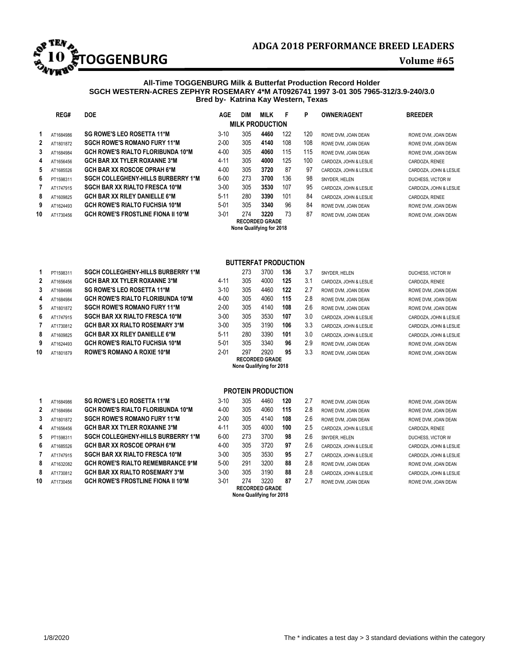

# **All-Time TOGGENBURG Milk & Butterfat Production Record Holder SGCH WESTERN-ACRES ZEPHYR ROSEMARY 4\*M AT0926741 1997 3-01 305 7965-312/3.9-240/3.0 Bred by- Katrina Kay Western, Texas**

|              | REG#      | <b>DOE</b>                                | <b>AGE</b> | <b>DIM</b> | <b>MILK</b>                                       | F   | P   | <b>OWNER/AGENT</b>     | <b>BREEDER</b>         |
|--------------|-----------|-------------------------------------------|------------|------------|---------------------------------------------------|-----|-----|------------------------|------------------------|
|              |           |                                           |            |            | <b>MILK PRODUCTION</b>                            |     |     |                        |                        |
|              | AT1684986 | <b>SG ROWE'S LEO ROSETTA 11*M</b>         | $3-10$     | 305        | 4460                                              | 122 | 120 | ROWE DVM, JOAN DEAN    | ROWE DVM, JOAN DEAN    |
| $\mathbf{2}$ | AT1801872 | <b>SGCH ROWE'S ROMANO FURY 11*M</b>       | $2 - 00$   | 305        | 4140                                              | 108 | 108 | ROWE DVM, JOAN DEAN    | ROWE DVM, JOAN DEAN    |
| 3            | AT1684984 | <b>GCH ROWE'S RIALTO FLORIBUNDA 10*M</b>  | $4 - 00$   | 305        | 4060                                              | 115 | 115 | ROWE DVM, JOAN DEAN    | ROWE DVM. JOAN DEAN    |
| 4            | AT1656456 | <b>GCH BAR XX TYLER ROXANNE 3*M</b>       | $4 - 11$   | 305        | 4000                                              | 125 | 100 | CARDOZA. JOHN & LESLIE | CARDOZA, RENEE         |
| 5            | AT1685526 | <b>GCH BAR XX ROSCOE OPRAH 6*M</b>        | $4 - 00$   | 305        | 3720                                              | 87  | 97  | CARDOZA, JOHN & LESLIE | CARDOZA, JOHN & LESLIE |
| 6            | PT1598311 | <b>SGCH COLLEGHENY-HILLS BURBERRY 1*M</b> | $6 - 00$   | 273        | 3700                                              | 136 | 98  | SNYDER, HELEN          | DUCHESS, VICTOR W      |
|              | AT1747915 | <b>SGCH BAR XX RIALTO FRESCA 10*M</b>     | $3 - 00$   | 305        | 3530                                              | 107 | 95  | CARDOZA, JOHN & LESLIE | CARDOZA, JOHN & LESLIE |
| 8            | AT1609825 | <b>GCH BAR XX RILEY DANIELLE 6*M</b>      | $5 - 11$   | 280        | 3390                                              | 101 | 84  | CARDOZA, JOHN & LESLIE | CARDOZA, RENEE         |
| 9            | AT1624493 | <b>GCH ROWE'S RIALTO FUCHSIA 10*M</b>     | $5 - 01$   | 305        | 3340                                              | 96  | 84  | ROWE DVM, JOAN DEAN    | ROWE DVM. JOAN DEAN    |
| 10           | AT1730456 | <b>GCH ROWE'S FROSTLINE FIONA II 10*M</b> | $3-01$     | 274        | 3220                                              | 73  | 87  | ROWE DVM, JOAN DEAN    | ROWE DVM, JOAN DEAN    |
|              |           |                                           |            |            | <b>RECORDED GRADE</b><br>None Qualifying for 2018 |     |     |                        |                        |

| PT1598311 | SGCH COLLEGHENT HILLS BURBERRT TIM       |
|-----------|------------------------------------------|
| AT1656456 | <b>GCH BAR XX TYLER ROXANNE 3*M</b>      |
| AT1684986 | SG ROWE'S LEO ROSETTA 11*M               |
| AT1684984 | <b>GCH ROWE'S RIALTO FLORIBUNDA 10*M</b> |
| AT1801872 | <b>SGCH ROWE'S ROMANO FURY 11*M</b>      |
| AT1747915 | <b>SGCH BAR XX RIALTO FRESCA 10*M</b>    |
| AT1730812 | <b>GCH BAR XX RIALTO ROSEMARY 3*M</b>    |
| AT1609825 | <b>GCH BAR XX RILEY DANIELLE 6*M</b>     |
| AT1624493 | <b>GCH ROWE'S RIALTO FUCHSIA 10*M</b>    |
|           | <b>DOME'S DOMANO A DOVIE 40tM</b>        |

|              | AT1684986 | <b>SG ROWE'S LEO ROSETTA 11*M</b>         | $3 - 10$ | 305 | 4460 | 120 | 2.7 | ROWE DVM, JOAN DEAN    | ROWE DVM, JOAN DEAN    |
|--------------|-----------|-------------------------------------------|----------|-----|------|-----|-----|------------------------|------------------------|
| $\mathbf{2}$ | AT1684984 | <b>GCH ROWE'S RIALTO FLORIBUNDA 10*M</b>  | $4 - 00$ | 305 | 4060 | 115 | 2.8 | ROWE DVM. JOAN DEAN    | ROWE DVM. JOAN DEAN    |
| 3            | AT1801872 | <b>SGCH ROWE'S ROMANO FURY 11*M</b>       | $2 - 00$ | 305 | 4140 | 108 | 2.6 | ROWE DVM, JOAN DEAN    | ROWE DVM. JOAN DEAN    |
| 4            | AT1656456 | <b>GCH BAR XX TYLER ROXANNE 3*M</b>       | 4-11     | 305 | 4000 | 100 | 2.5 | CARDOZA, JOHN & LESLIE | CARDOZA, RENEE         |
| 5            | PT1598311 | <b>SGCH COLLEGHENY-HILLS BURBERRY 1*M</b> | $6 - 00$ | 273 | 3700 | 98  | 2.6 | SNYDER. HELEN          | DUCHESS, VICTOR W      |
| 6            | AT1685526 | <b>GCH BAR XX ROSCOE OPRAH 6*M</b>        | $4 - 00$ | 305 | 3720 | 97  | 2.6 | CARDOZA. JOHN & LESLIE | CARDOZA, JOHN & LESLIE |
|              | AT1747915 | <b>SGCH BAR XX RIALTO FRESCA 10*M</b>     | $3 - 00$ | 305 | 3530 | 95  | 2.7 | CARDOZA. JOHN & LESLIE | CARDOZA, JOHN & LESLIE |
| 8            | AT1632082 | <b>GCH ROWE'S RIALTO REMEMBRANCE 9*M</b>  | $5 - 00$ | 291 | 3200 | 88  | 2.8 | ROWE DVM. JOAN DEAN    | ROWE DVM. JOAN DEAN    |
| 8            | AT1730812 | <b>GCH BAR XX RIALTO ROSEMARY 3*M</b>     | $3 - 00$ | 305 | 3190 | 88  | 2.8 | CARDOZA. JOHN & LESLIE | CARDOZA, JOHN & LESLIE |
| 10           | AT1730456 | <b>GCH ROWE'S FROSTLINE FIONA II 10*M</b> | $3 - 01$ | 274 | 3220 | 87  | 2.7 | ROWE DVM. JOAN DEAN    | ROWE DVM, JOAN DEAN    |
|              |           |                                           |          |     |      |     |     |                        |                        |

# **BUTTERFAT PRODUCTION**

| 10           | AT1801879 | <b>ROWE'S ROMANO A ROXIE 10*M</b>         | $2 - 01$ | 297 | 2920<br><b>RECORDED GRADE</b> | 95  | 3.3 | ROWE DVM, JOAN DEAN    | ROWE DVM. JOAN DEAN    |
|--------------|-----------|-------------------------------------------|----------|-----|-------------------------------|-----|-----|------------------------|------------------------|
| 9            | AT1624493 | <b>GCH ROWE'S RIALTO FUCHSIA 10*M</b>     | $5 - 01$ | 305 | 3340                          | 96  | 2.9 | ROWE DVM, JOAN DEAN    | ROWE DVM. JOAN DEAN    |
| 8            | AT1609825 | <b>GCH BAR XX RILEY DANIELLE 6*M</b>      | $5 - 11$ | 280 | 3390                          | 101 | 3.0 | CARDOZA. JOHN & LESLIE | CARDOZA, JOHN & LESLIE |
|              | AT1730812 | <b>GCH BAR XX RIALTO ROSEMARY 3*M</b>     | $3 - 00$ | 305 | 3190                          | 106 | 3.3 | CARDOZA, JOHN & LESLIE | CARDOZA, JOHN & LESLIE |
| 6.           | AT1747915 | <b>SGCH BAR XX RIALTO FRESCA 10*M</b>     | $3 - 00$ | 305 | 3530                          | 107 | 3.0 | CARDOZA, JOHN & LESLIE | CARDOZA, JOHN & LESLIE |
| 5.           | AT1801872 | <b>SGCH ROWE'S ROMANO FURY 11*M</b>       | $2 - 00$ | 305 | 4140                          | 108 | 2.6 | ROWE DVM, JOAN DEAN    | ROWE DVM. JOAN DEAN    |
| 4            | AT1684984 | <b>GCH ROWE'S RIALTO FLORIBUNDA 10*M</b>  | $4 - 00$ | 305 | 4060                          | 115 | 2.8 | ROWE DVM, JOAN DEAN    | ROWE DVM. JOAN DEAN    |
| 3            | AT1684986 | <b>SG ROWE'S LEO ROSETTA 11*M</b>         | $3-10$   | 305 | 4460                          | 122 | 2.7 | ROWE DVM, JOAN DEAN    | ROWE DVM. JOAN DEAN    |
| $\mathbf{2}$ | AT1656456 | <b>GCH BAR XX TYLER ROXANNE 3*M</b>       | $4 - 11$ | 305 | 4000                          | 125 | 3.1 | CARDOZA, JOHN & LESLIE | CARDOZA, RENEE         |
|              | PT1598311 | <b>SGCH COLLEGHENY-HILLS BURBERRY 1*M</b> |          | 273 | 3700                          | 136 | 3.7 | SNYDER, HELEN          | DUCHESS, VICTOR W      |
|              |           |                                           |          |     |                               |     |     |                        |                        |

# **PROTEIN PRODUCTION**

| 305                      | 4460 | 120 | 2.7                   | ROWE DVM, JOAN  |  |  |  |  |  |
|--------------------------|------|-----|-----------------------|-----------------|--|--|--|--|--|
| 305                      | 4060 | 115 | 2.8                   | ROWE DVM. JOAN  |  |  |  |  |  |
| 305                      | 4140 | 108 | 2.6                   | ROWE DVM, JOAN  |  |  |  |  |  |
| 305                      | 4000 | 100 | 2.5                   | CARDOZA, JOHN & |  |  |  |  |  |
| 273                      | 3700 | 98  | 2.6                   | SNYDER, HELEN   |  |  |  |  |  |
| 305                      | 3720 | 97  | 2.6                   | CARDOZA, JOHN & |  |  |  |  |  |
| 305                      | 3530 | 95  | 2.7                   | CARDOZA, JOHN & |  |  |  |  |  |
| 291                      | 3200 | 88  | 2.8                   | ROWE DVM. JOAN  |  |  |  |  |  |
| 305                      | 3190 | 88  | 2.8                   | CARDOZA, JOHN & |  |  |  |  |  |
| 274                      | 3220 | 87  | 2.7                   | ROWE DVM. JOAN  |  |  |  |  |  |
| None Qualifying for 2018 |      |     |                       |                 |  |  |  |  |  |
|                          |      |     | <b>RECORDED GRADE</b> |                 |  |  |  |  |  |

| ROWE DVM. JOAN DEAN    |
|------------------------|
| ROWE DVM. JOAN DEAN    |
| ROWE DVM. JOAN DEAN    |
| CARDOZA, RENEE         |
| DUCHESS. VICTOR W      |
| CARDOZA. JOHN & LESLIE |
| CARDOZA. JOHN & LESLIE |
| ROWE DVM. JOAN DEAN    |
| CARDOZA, JOHN & LESLIE |
| ROWE DVM. JOAN DEAN    |